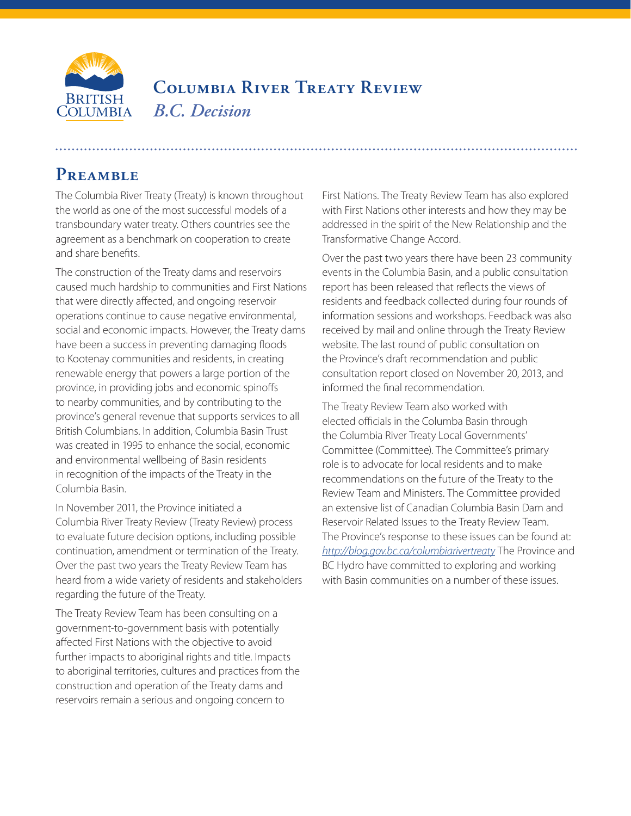

## **Columbia River Treaty Review** *B.C. Decision*

## PREAMBLE

The Columbia River Treaty (Treaty) is known throughout the world as one of the most successful models of a transboundary water treaty. Others countries see the agreement as a benchmark on cooperation to create and share benefits.

The construction of the Treaty dams and reservoirs caused much hardship to communities and First Nations that were directly affected, and ongoing reservoir operations continue to cause negative environmental, social and economic impacts. However, the Treaty dams have been a success in preventing damaging floods to Kootenay communities and residents, in creating renewable energy that powers a large portion of the province, in providing jobs and economic spinoffs to nearby communities, and by contributing to the province's general revenue that supports services to all British Columbians. In addition, Columbia Basin Trust was created in 1995 to enhance the social, economic and environmental wellbeing of Basin residents in recognition of the impacts of the Treaty in the Columbia Basin.

In November 2011, the Province initiated a Columbia River Treaty Review (Treaty Review) process to evaluate future decision options, including possible continuation, amendment or termination of the Treaty. Over the past two years the Treaty Review Team has heard from a wide variety of residents and stakeholders regarding the future of the Treaty.

The Treaty Review Team has been consulting on a government-to-government basis with potentially affected First Nations with the objective to avoid further impacts to aboriginal rights and title. Impacts to aboriginal territories, cultures and practices from the construction and operation of the Treaty dams and reservoirs remain a serious and ongoing concern to

First Nations. The Treaty Review Team has also explored with First Nations other interests and how they may be addressed in the spirit of the New Relationship and the Transformative Change Accord.

Over the past two years there have been 23 community events in the Columbia Basin, and a public consultation report has been released that reflects the views of residents and feedback collected during four rounds of information sessions and workshops. Feedback was also received by mail and online through the Treaty Review website. The last round of public consultation on the Province's draft recommendation and public consultation report closed on November 20, 2013, and informed the final recommendation.

The Treaty Review Team also worked with elected officials in the Columba Basin through the Columbia River Treaty Local Governments' Committee (Committee). The Committee's primary role is to advocate for local residents and to make recommendations on the future of the Treaty to the Review Team and Ministers. The Committee provided an extensive list of Canadian Columbia Basin Dam and Reservoir Related Issues to the Treaty Review Team. The Province's response to these issues can be found at: *<http://blog.gov.bc.ca/columbiarivertreaty>* The Province and BC Hydro have committed to exploring and working with Basin communities on a number of these issues.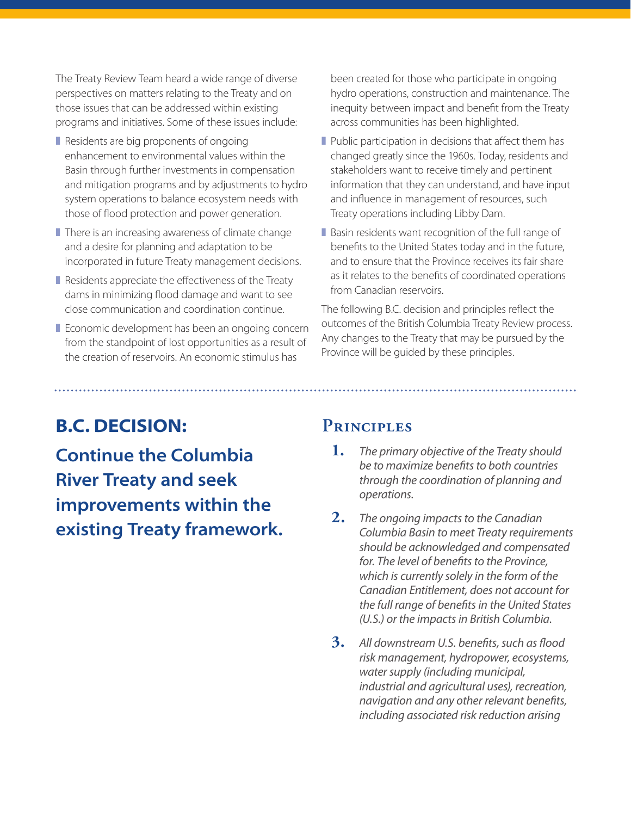The Treaty Review Team heard a wide range of diverse perspectives on matters relating to the Treaty and on those issues that can be addressed within existing programs and initiatives. Some of these issues include:

- Residents are big proponents of ongoing enhancement to environmental values within the Basin through further investments in compensation and mitigation programs and by adjustments to hydro system operations to balance ecosystem needs with those of flood protection and power generation.
- There is an increasing awareness of climate change and a desire for planning and adaptation to be incorporated in future Treaty management decisions.
- Residents appreciate the effectiveness of the Treaty dams in minimizing flood damage and want to see close communication and coordination continue.
- Economic development has been an ongoing concern from the standpoint of lost opportunities as a result of the creation of reservoirs. An economic stimulus has

been created for those who participate in ongoing hydro operations, construction and maintenance. The inequity between impact and benefit from the Treaty across communities has been highlighted.

- Public participation in decisions that affect them has changed greatly since the 1960s. Today, residents and stakeholders want to receive timely and pertinent information that they can understand, and have input and influence in management of resources, such Treaty operations including Libby Dam.
- Basin residents want recognition of the full range of benefits to the United States today and in the future, and to ensure that the Province receives its fair share as it relates to the benefits of coordinated operations from Canadian reservoirs.

The following B.C. decision and principles reflect the outcomes of the British Columbia Treaty Review process. Any changes to the Treaty that may be pursued by the Province will be guided by these principles.

## **B.C. DECISION:**

**Continue the Columbia River Treaty and seek improvements within the existing Treaty framework.**

## **Principles**

- **1.** *The primary objective of the Treaty should be to maximize benefits to both countries through the coordination of planning and operations.*
- **2.** *The ongoing impacts to the Canadian Columbia Basin to meet Treaty requirements should be acknowledged and compensated for. The level of benefits to the Province, which is currently solely in the form of the Canadian Entitlement, does not account for the full range of benefits in the United States (U.S.) or the impacts in British Columbia.*
- **3.** *All downstream U.S. benefits, such as flood risk management, hydropower, ecosystems, water supply (including municipal, industrial and agricultural uses), recreation, navigation and any other relevant benefits, including associated risk reduction arising*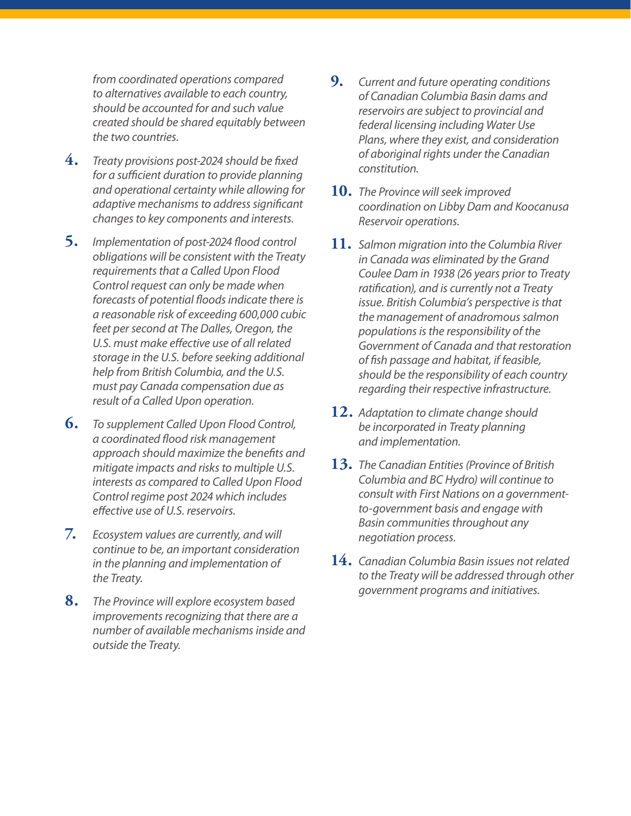*from coordinated operations compared to alternatives available to each country, should be accounted for and such value created should be shared equitably between the two countries.*

- **4.** *Treaty provisions post-2024 should be fixed for a sufficient duration to provide planning and operational certainty while allowing for adaptive mechanisms to address significant changes to key components and interests.*
- **5.** *Implementation of post-2024 flood control obligations will be consistent with the Treaty requirements that a Called Upon Flood Control request can only be made when forecasts of potential floods indicate there is a reasonable risk of exceeding 600,000 cubic feet per second at The Dalles, Oregon, the U.S. must make effective use of all related storage in the U.S. before seeking additional help from British Columbia, and the U.S. must pay Canada compensation due as result of a Called Upon operation.*
- **6.** *To supplement Called Upon Flood Control, a coordinated flood risk management approach should maximize the benefits and mitigate impacts and risks to multiple U.S. interests as compared to Called Upon Flood Control regime post 2024 which includes effective use of U.S. reservoirs.*
- **7.** *Ecosystem values are currently, and will continue to be, an important consideration in the planning and implementation of the Treaty.*
- **8.** *The Province will explore ecosystem based improvements recognizing that there are a number of available mechanisms inside and outside the Treaty.*
- **9.** *Current and future operating conditions of Canadian Columbia Basin dams and reservoirs are subject to provincial and federal licensing including Water Use Plans, where they exist, and consideration of aboriginal rights under the Canadian constitution.*
- **10.** *The Province will seek improved coordination on Libby Dam and Koocanusa Reservoir operations.*
- **11.** *Salmon migration into the Columbia River in Canada was eliminated by the Grand Coulee Dam in 1938 (26 years prior to Treaty ratification), and is currently not a Treaty issue. British Columbia's perspective is that the management of anadromous salmon populations is the responsibility of the Government of Canada and that restoration of fish passage and habitat, if feasible, should be the responsibility of each country regarding their respective infrastructure.*
- **12.** *Adaptation to climate change should be incorporated in Treaty planning and implementation.*
- **13.** *The Canadian Entities (Province of British Columbia and BC Hydro) will continue to consult with First Nations on a governmentto-government basis and engage with Basin communities throughout any negotiation process.*
- **14.** *Canadian Columbia Basin issues not related to the Treaty will be addressed through other government programs and initiatives.*